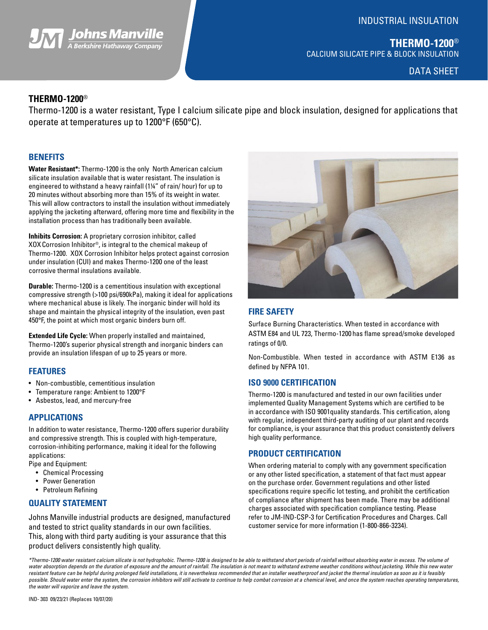## INDUSTRIAL INSULATION



DATA SHEET

#### **THERMO-1200**®

Thermo-1200 is a water resistant, Type I calcium silicate pipe and block insulation, designed for applications that operate at temperatures up to 1200°F (650°C).

#### **BENEFITS**

**Water Resistant\*:** Thermo-1200 is the only North American calcium silicate insulation available that is water resistant. The insulation is engineered to withstand a heavy rainfall (1¼" of rain/ hour) for up to 20 minutes without absorbing more than 15% of its weight in water. This will allow contractors to install the insulation without immediately applying the jacketing afterward, offering more time and flexibility in the installation process than has traditionally been available.

**The Second School School School School School School Second School Second School Second School Second School S** 

**Inhibits Corrosion:** A proprietary corrosion inhibitor, called XOXCorrosion Inhibitor®, is integral to the chemical makeup of Thermo-1200. XOX Corrosion Inhibitor helps protect against corrosion under insulation (CUI) and makes Thermo-1200 one of the least corrosive thermal insulations available.

**Durable:** Thermo-1200 is a cementitious insulation with exceptional compressive strength (>100 psi/690kPa), making it ideal for applications where mechanical abuse is likely. The inorganic binder will hold its shape and maintain the physical integrity of the insulation, even past 450°F, the point at which most organic binders burn off.

**Extended Life Cycle:** When properly installed and maintained, Thermo-1200's superior physical strength and inorganic binders can provide an insulation lifespan of up to 25 years or more.

#### **FEATURES**

- Non-combustible, cementitious insulation
- Temperature range: Ambient to 1200°F
- Asbestos, lead, and mercury-free

#### **APPLICATIONS**

In addition to water resistance, Thermo-1200 offers superior durability and compressive strength. This is coupled with high-temperature, corrosion-inhibiting performance, making it ideal for the following applications:

Pipe and Equipment:

- Chemical Processing
- Power Generation
- Petroleum Refining

#### **QUALITY STATEMENT**

Johns Manville industrial products are designed, manufactured and tested to strict quality standards in our own facilities. This, along with third party auditing is your assurance that this product delivers consistently high quality.



### **FIRE SAFETY**

Surface Burning Characteristics. When tested in accordance with ASTM E84 and UL 723, Thermo-1200 has flame spread/smoke developed ratings of 0/0.

Non-Combustible. When tested in accordance with ASTM E136 as defined by NFPA 101.

#### **ISO 9000 CERTIFICATION**

Thermo-1200 is manufactured and tested in our own facilities under implemented Quality Management Systems which are certified to be in accordance with ISO 9001quality standards. This certification, along with regular, independent third-party auditing of our plant and records for compliance, is your assurance that this product consistently delivers high quality performance.

#### **PRODUCT CERTIFICATION**

When ordering material to comply with any government specification or any other listed specification, a statement of that fact must appear on the purchase order. Government regulations and other listed specifications require specific lot testing, and prohibit the certification of compliance after shipment has been made. There may be additional charges associated with specification compliance testing. Please refer to JM-IND-CSP-3 for Certification Procedures and Charges. Call customer service for more information (1-800-866-3234).

*\*Thermo-1200 water resistant calcium silicate is not hydrophobic. Thermo-1200 is designed to be able to withstand short periods of rainfall without absorbing water in excess. The volume of*  water absorption depends on the duration of exposure and the amount of rainfall. The insulation is not meant to withstand extreme weather conditions without jacketing. While this new water resistant feature can be helpful during prolonged field installations, it is nevertheless recommended that an installer weatherproof and jacket the thermal insulation as soon as it is feasibly possible. Should water enter the system, the corrosion inhibitors will still activate to continue to help combat corrosion at a chemical level, and once the system reaches operating temperatures, *the water will vaporize and leave the system.*